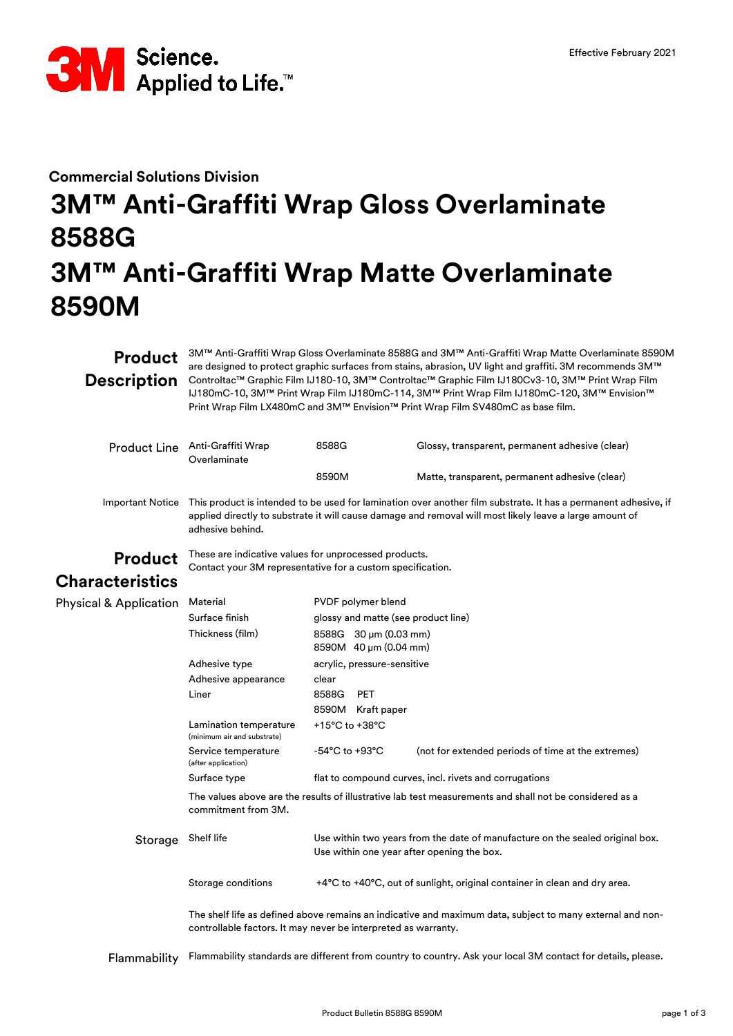

# **Commercial Solutions Division 3M™ Anti-Graffiti Wrap Gloss Overlaminate 8588G 3M™ Anti-Graffiti Wrap Matte Overlaminate 8590M**

**Product** 3M™ Anti-Graffiti Wrap Gloss Overlaminate 8588G and 3M™ Anti-Graffiti Wrap Matte Overlaminate 8590M<br>Product are designed to protect graphic surfaces from stains, abrasion, UV light and graffiti. 3M recommends 3M Description Controltac™ Graphic Film IJ180-10, 3M™ Controltac™ Graphic Film IJ180Cv3-10, 3M™ Print Wrap Film are designed to protect graphic surfaces from stains, abrasion, UV light and graffiti. 3M recommends 3M™ IJ180mC-10, 3M™ Print Wrap Film IJ180mC-114, 3M™ Print Wrap Film IJ180mC-120, 3M™ Envision™ Print Wrap Film LX480mC and 3M™ Envision™ Print Wrap Film SV480mC as base film.

|                                   | Product Line Anti-Graffiti Wrap<br>Overlaminate                                                                                                                                                                                                | 8588G                                                                                                                       | Glossy, transparent, permanent adhesive (clear)                           |  |
|-----------------------------------|------------------------------------------------------------------------------------------------------------------------------------------------------------------------------------------------------------------------------------------------|-----------------------------------------------------------------------------------------------------------------------------|---------------------------------------------------------------------------|--|
|                                   |                                                                                                                                                                                                                                                | 8590M                                                                                                                       | Matte, transparent, permanent adhesive (clear)                            |  |
| <b>Important Notice</b>           | This product is intended to be used for lamination over another film substrate. It has a permanent adhesive, if<br>applied directly to substrate it will cause damage and removal will most likely leave a large amount of<br>adhesive behind. |                                                                                                                             |                                                                           |  |
| <b>Product</b>                    | These are indicative values for unprocessed products.<br>Contact your 3M representative for a custom specification.                                                                                                                            |                                                                                                                             |                                                                           |  |
| <b>Characteristics</b>            |                                                                                                                                                                                                                                                |                                                                                                                             |                                                                           |  |
| <b>Physical &amp; Application</b> | Material                                                                                                                                                                                                                                       | PVDF polymer blend                                                                                                          |                                                                           |  |
|                                   | Surface finish                                                                                                                                                                                                                                 | glossy and matte (see product line)                                                                                         |                                                                           |  |
|                                   | Thickness (film)                                                                                                                                                                                                                               | 8588G 30 µm (0.03 mm)                                                                                                       |                                                                           |  |
|                                   |                                                                                                                                                                                                                                                | 8590M 40 µm (0.04 mm)                                                                                                       |                                                                           |  |
|                                   | Adhesive type                                                                                                                                                                                                                                  | acrylic, pressure-sensitive                                                                                                 |                                                                           |  |
|                                   | Adhesive appearance                                                                                                                                                                                                                            | clear                                                                                                                       |                                                                           |  |
|                                   | Liner                                                                                                                                                                                                                                          | 8588G<br><b>PET</b>                                                                                                         |                                                                           |  |
|                                   |                                                                                                                                                                                                                                                | 8590M Kraft paper                                                                                                           |                                                                           |  |
|                                   | Lamination temperature<br>(minimum air and substrate)                                                                                                                                                                                          | +15°C to +38°C                                                                                                              |                                                                           |  |
|                                   | Service temperature<br>(after application)                                                                                                                                                                                                     | -54°C to +93°C                                                                                                              | (not for extended periods of time at the extremes)                        |  |
|                                   | Surface type                                                                                                                                                                                                                                   |                                                                                                                             | flat to compound curves, incl. rivets and corrugations                    |  |
|                                   | The values above are the results of illustrative lab test measurements and shall not be considered as a<br>commitment from 3M.                                                                                                                 |                                                                                                                             |                                                                           |  |
| Storage                           | Shelf life                                                                                                                                                                                                                                     | Use within two years from the date of manufacture on the sealed original box.<br>Use within one year after opening the box. |                                                                           |  |
|                                   | Storage conditions                                                                                                                                                                                                                             |                                                                                                                             | +4°C to +40°C, out of sunlight, original container in clean and dry area. |  |
|                                   | The shelf life as defined above remains an indicative and maximum data, subject to many external and non-<br>controllable factors. It may never be interpreted as warranty.                                                                    |                                                                                                                             |                                                                           |  |
|                                   |                                                                                                                                                                                                                                                |                                                                                                                             |                                                                           |  |

Flammability Flammability standards are different from country to country. Ask your local 3M contact for details, please.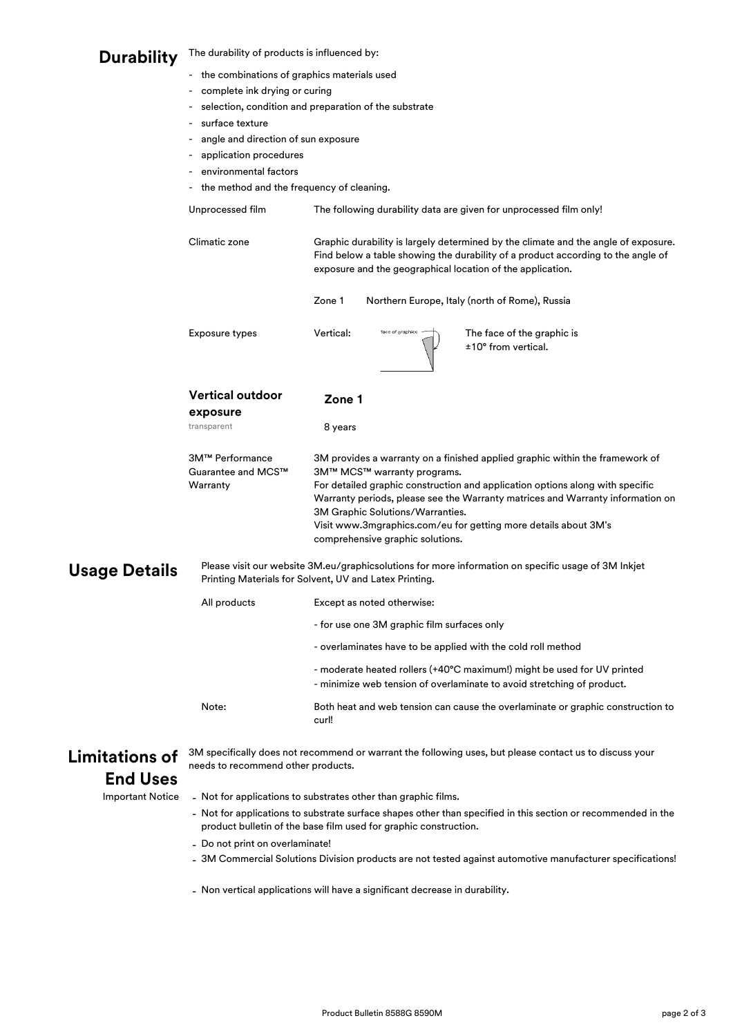### **Durability**  The durability of products is influenced by:

- the combinations of graphics materials used
- complete ink drying or curing
- selection, condition and preparation of the substrate

Vertical:

**Zone 1**

- surface texture
- angle and direction of sun exposure
- application procedures
- environmental factors
- the method and the frequency of cleaning.

```
The following durability data are given for unprocessed film only!
```
Climatic zone

Unprocessed film

Graphic durability is largely determined by the climate and the angle of exposure. Find below a table showing the durability of a product according to the angle of exposure and the geographical location of the application.

3M provides a warranty on a finished applied graphic within the framework of

For detailed graphic construction and application options along with specific Warranty periods, please see the Warranty matrices and Warranty information on

Visit www.3mgraphics.com/eu for getting more details about 3M's

Zone 1 Northern Europe, Italy (north of Rome), Russia

**exposure**

3M™ Performance Guarantee and MCS™

**Vertical outdoor**

transparent 8 years

Warranty



Exposure types Vertical: **The face of the graphic is** ±10° from vertical.

### **Usage Details**

[Please visit our website 3](http://multimedia.3m.com/mws/mediawebserver?mwsId=66666UgxGCuNyXTtoxM2mXMVEVtQEcuZgVs6EVs6E666666--&fn=3M_inkjet_printing_materials_Low)M.eu/graphicsolutions for more information on specific usage of 3M Inkjet [Printing Materials for Solv](http://multimedia.3m.com/mws/mediawebserver?mwsId=66666UgxGCuNyXTtoxM2mXMVEVtQEcuZgVs6EVs6E666666--&fn=3M_inkjet_printing_materials_Low)ent, UV and Latex Printing.

3M™ MCS™ warranty programs.

3M Graphic Solutions/Warranties.

comprehensive graphic solutions.

| All products | Except as noted otherwise:                                                                                                                        |  |  |
|--------------|---------------------------------------------------------------------------------------------------------------------------------------------------|--|--|
|              | - for use one 3M graphic film surfaces only                                                                                                       |  |  |
|              | - overlaminates have to be applied with the cold roll method                                                                                      |  |  |
|              | - moderate heated rollers (+40°C maximum!) might be used for UV printed<br>- minimize web tension of overlaminate to avoid stretching of product. |  |  |
| Note:        | Both heat and web tension can cause the overlaminate or graphic construction to<br>curl!                                                          |  |  |

## **Limitations of End Uses**

3M specifically does not recommend or warrant the following uses, but please contact us to discuss your needs to recommend other products.

## **Important Notice**

Not for applications to substrates other than graphic films.

- Not for applications to substrate surface shapes other than specified in this section or recommended in the product bulletin of the base film used for graphic construction.
- Do not print on overlaminate!
- 3M Commercial Solutions Division products are not tested against automotive manufacturer specifications!
- Non vertical applications will have a significant decrease in durability.